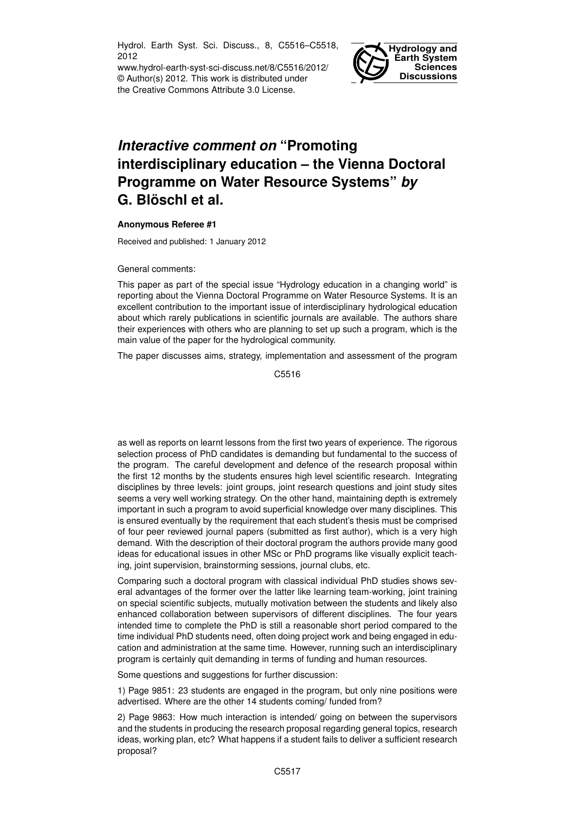Hydrol. Earth Syst. Sci. Discuss., 8, C5516–C5518, 2012

www.hydrol-earth-syst-sci-discuss.net/8/C5516/2012/ © Author(s) 2012. This work is distributed under the Creative Commons Attribute 3.0 License.



## *Interactive comment on* **"Promoting interdisciplinary education – the Vienna Doctoral Programme on Water Resource Systems"** *by* **G. Blöschl et al.**

## **Anonymous Referee #1**

Received and published: 1 January 2012

General comments:

This paper as part of the special issue "Hydrology education in a changing world" is reporting about the Vienna Doctoral Programme on Water Resource Systems. It is an excellent contribution to the important issue of interdisciplinary hydrological education about which rarely publications in scientific journals are available. The authors share their experiences with others who are planning to set up such a program, which is the main value of the paper for the hydrological community.

The paper discusses aims, strategy, implementation and assessment of the program

C5516

as well as reports on learnt lessons from the first two years of experience. The rigorous selection process of PhD candidates is demanding but fundamental to the success of the program. The careful development and defence of the research proposal within the first 12 months by the students ensures high level scientific research. Integrating disciplines by three levels: joint groups, joint research questions and joint study sites seems a very well working strategy. On the other hand, maintaining depth is extremely important in such a program to avoid superficial knowledge over many disciplines. This is ensured eventually by the requirement that each student's thesis must be comprised of four peer reviewed journal papers (submitted as first author), which is a very high demand. With the description of their doctoral program the authors provide many good ideas for educational issues in other MSc or PhD programs like visually explicit teaching, joint supervision, brainstorming sessions, journal clubs, etc.

Comparing such a doctoral program with classical individual PhD studies shows several advantages of the former over the latter like learning team-working, joint training on special scientific subjects, mutually motivation between the students and likely also enhanced collaboration between supervisors of different disciplines. The four years intended time to complete the PhD is still a reasonable short period compared to the time individual PhD students need, often doing project work and being engaged in education and administration at the same time. However, running such an interdisciplinary program is certainly quit demanding in terms of funding and human resources.

Some questions and suggestions for further discussion:

1) Page 9851: 23 students are engaged in the program, but only nine positions were advertised. Where are the other 14 students coming/ funded from?

2) Page 9863: How much interaction is intended/ going on between the supervisors and the students in producing the research proposal regarding general topics, research ideas, working plan, etc? What happens if a student fails to deliver a sufficient research proposal?